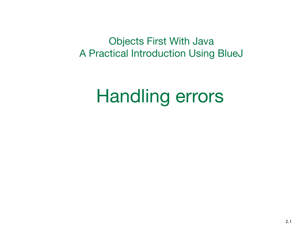Objects First With Java A Practical Introduction Using BlueJ

#### Handling errors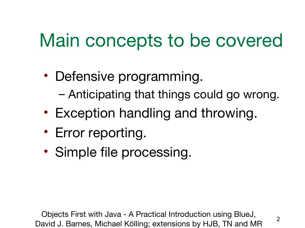# Main concepts to be covered

- Defensive programming.
	- Anticipating that things could go wrong.
- Exception handling and throwing.
- Error reporting.
- Simple file processing.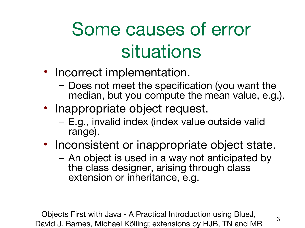# Some causes of error situations

- Incorrect implementation.
	- Does not meet the specification (you want the median, but you compute the mean value, e.g.).
- Inappropriate object request.
	- E.g., invalid index (index value outside valid range).
- Inconsistent or inappropriate object state.
	- An object is used in a way not anticipated by the class designer, arising through class extension or inheritance, e.g.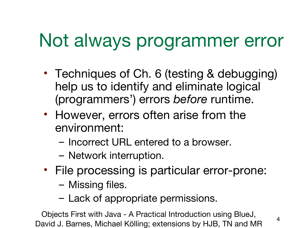# Not always programmer error

- Techniques of Ch. 6 (testing & debugging) help us to identify and eliminate logical (programmers') errors *before* runtime.
- However, errors often arise from the environment:
	- Incorrect URL entered to a browser.
	- Network interruption.
- File processing is particular error-prone:
	- Missing files.
	- Lack of appropriate permissions.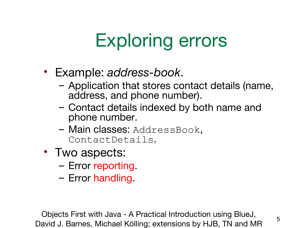# Exploring errors

- Example: *address-book*.
	- Application that stores contact details (name, address, and phone number).
	- Contact details indexed by both name and phone number.
	- Main classes: AddressBook, ContactDetails.
- Two aspects:
	- Error reporting.
	- Error handling.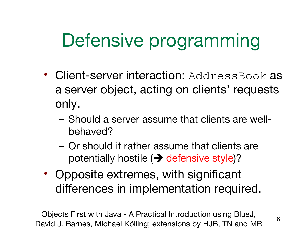# Defensive programming

- Client-server interaction: AddressBook as a server object, acting on clients' requests only.
	- Should a server assume that clients are wellbehaved?
	- Or should it rather assume that clients are potentially hostile  $\rightarrow$  defensive style)?
- Opposite extremes, with significant differences in implementation required.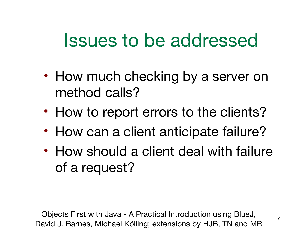#### Issues to be addressed

- How much checking by a server on method calls?
- How to report errors to the clients?
- How can a client anticipate failure?
- How should a client deal with failure of a request?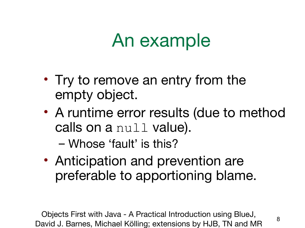#### An example

- Try to remove an entry from the empty object.
- A runtime error results (due to method calls on a null value).

– Whose 'fault' is this?

• Anticipation and prevention are preferable to apportioning blame.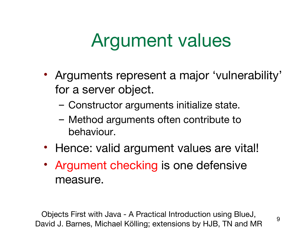# Argument values

- Arguments represent a major 'vulnerability' for a server object.
	- Constructor arguments initialize state.
	- Method arguments often contribute to behaviour.
- Hence: valid argument values are vital!
- Argument checking is one defensive measure.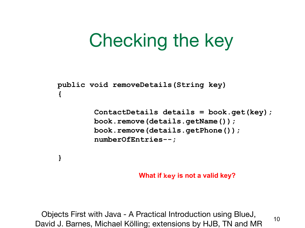# Checking the key

**public void removeDetails(String key) {**

**}**

 **ContactDetails details = book.get(key); book.remove(details.getName()); book.remove(details.getPhone()); numberOfEntries--;**

**What if key is not a valid key?**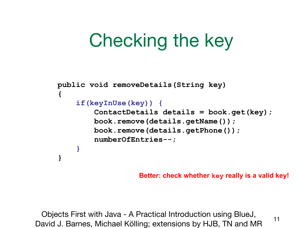# Checking the key

```
public void removeDetails(String key)
{
     if(keyInUse(key)) {
         ContactDetails details = book.get(key);
         book.remove(details.getName());
         book.remove(details.getPhone());
         numberOfEntries--;
 }
}
```
**Better: check whether key really is a valid key!**

Objects First with Java - A Practical Introduction using BlueJ, Digitish hist with bava Milliam introduction daily blace,<br>David J. Barnes, Michael Kölling; extensions by HJB, TN and MR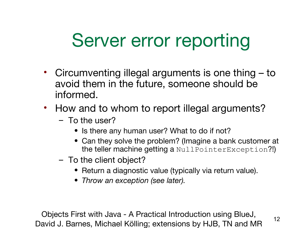# Server error reporting

- Circumventing illegal arguments is one thing to avoid them in the future, someone should be informed.
- How and to whom to report illegal arguments?
	- To the user?
		- Is there any human user? What to do if not?
		- Can they solve the problem? (Imagine a bank customer at the teller machine getting a NullPointerException?!)
	- To the client object?
		- Return a diagnostic value (typically via return value).
		- *Throw an exception (see later).*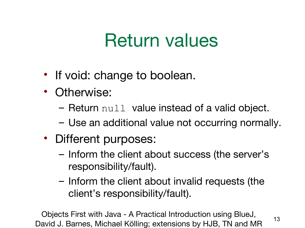## Return values

- If void: change to boolean.
- Otherwise:
	- $-$  Return  $null$  value instead of a valid object.
	- Use an additional value not occurring normally.
- Different purposes:
	- Inform the client about success (the server's responsibility/fault).
	- Inform the client about invalid requests (the client's responsibility/fault).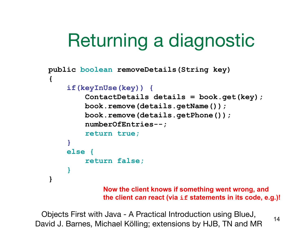# Returning a diagnostic

```
public boolean removeDetails(String key)
{
     if(keyInUse(key)) {
          ContactDetails details = book.get(key);
         book.remove(details.getName());
         book.remove(details.getPhone());
          numberOfEntries--;
          return true;
     }
     else {
          return false;
     }
}
```
**Now the client knows if something went wrong, and the client** *can* **react (via if statements in its code, e.g.)!**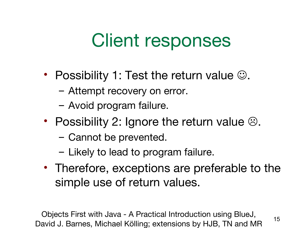#### Client responses

- Possibility 1: Test the return value  $\odot$ .
	- Attempt recovery on error.
	- Avoid program failure.
- Possibility 2: Ignore the return value  $\odot$ .
	- Cannot be prevented.
	- Likely to lead to program failure.
- Therefore, exceptions are preferable to the simple use of return values.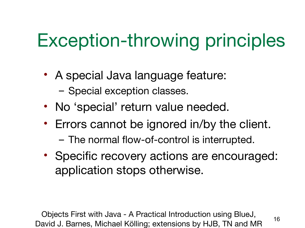# Exception-throwing principles

- A special Java language feature: – Special exception classes.
- No 'special' return value needed.
- Errors cannot be ignored in/by the client.
	- The normal flow-of-control is interrupted.
- Specific recovery actions are encouraged: application stops otherwise.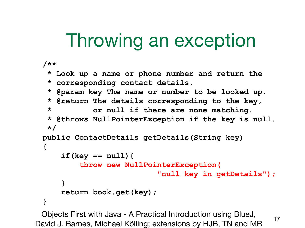# Throwing an exception

```
/**
 * Look up a name or phone number and return the
 * corresponding contact details.
 * @param key The name or number to be looked up.
 * @return The details corresponding to the key,
 * or null if there are none matching.
 * @throws NullPointerException if the key is null.
 */
public ContactDetails getDetails(String key)
{
     if(key == null){
         throw new NullPointerException(
                          "null key in getDetails");
     }
     return book.get(key); 
}
```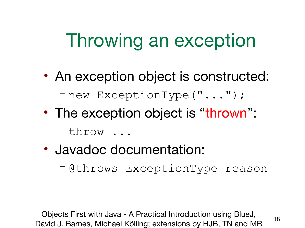# Throwing an exception

- An exception object is constructed: – new ExceptionType("...");
- The exception object is "thrown":

– throw ...

- Javadoc documentation:
	- @throws ExceptionType reason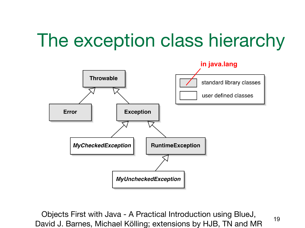# The exception class hierarchy

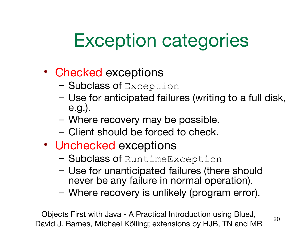# Exception categories

#### • Checked exceptions

- Subclass of Exception
- Use for anticipated failures (writing to a full disk, e.g.).
- Where recovery may be possible.
- Client should be forced to check.
- Unchecked exceptions
	- Subclass of RuntimeException
	- Use for unanticipated failures (there should never be any failure in normal operation).
	- Where recovery is unlikely (program error).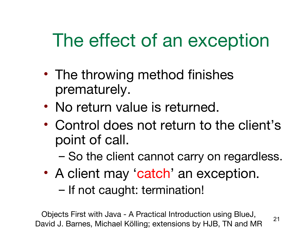# The effect of an exception

- The throwing method finishes prematurely.
- No return value is returned.
- Control does not return to the client's point of call.
	- So the client cannot carry on regardless.
- A client may 'catch' an exception.

– If not caught: termination!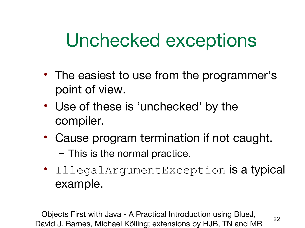#### Unchecked exceptions

- The easiest to use from the programmer's point of view.
- Use of these is 'unchecked' by the compiler.
- Cause program termination if not caught. – This is the normal practice.
- IllegalArgumentException is a typical example.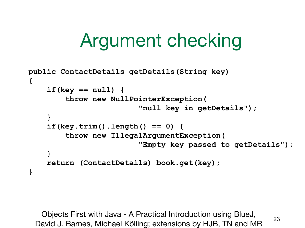# Argument checking

```
public ContactDetails getDetails(String key)
{
     if(key == null) {
         throw new NullPointerException(
                          "null key in getDetails");
     }
     if(key.trim().length() == 0) {
         throw new IllegalArgumentException(
                          "Empty key passed to getDetails");
 }
     return (ContactDetails) book.get(key);
}
```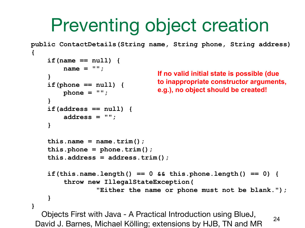# Preventing object creation

```
Objects First with Java - A Practical Introduction using BlueJ, 
 David J. Barnes, Michael Kölling; extensions by HJB, TN and MR 24
public ContactDetails(String name, String phone, String address)
{
     if(name == null) {
        name = " " ; }
     if(phone == null) {
         phone = "";
 }
     if(address == null) {
          address = "";
     }
    this.name = name.trim();
     this.phone = phone.trim();
     this.address = address.trim();
     if(this.name.length() == 0 && this.phone.length() == 0) {
          throw new IllegalStateException(
                   "Either the name or phone must not be blank.");
 }
}
                                  If no valid initial state is possible (due
                                  to inappropriate constructor arguments,
                                  e.g.), no object should be created!
```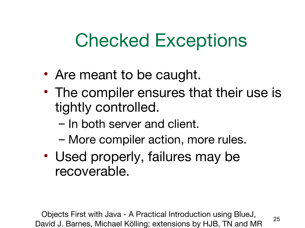# Checked Exceptions

- Are meant to be caught.
- The compiler ensures that their use is tightly controlled.
	- In both server and client.
	- More compiler action, more rules.
- Used properly, failures may be recoverable.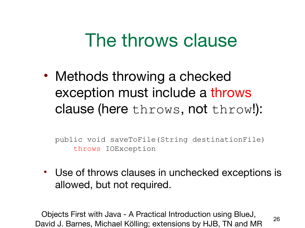#### The throws clause

• Methods throwing a checked exception must include a throws clause (here throws, not throw!):

public void saveToFile(String destinationFile) throws IOException

• Use of throws clauses in unchecked exceptions is allowed, but not required.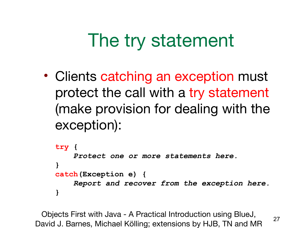# The try statement

• Clients catching an exception must protect the call with a try statement (make provision for dealing with the exception):

```
try {
     Protect one or more statements here.
}
catch(Exception e) {
     Report and recover from the exception here.
}
```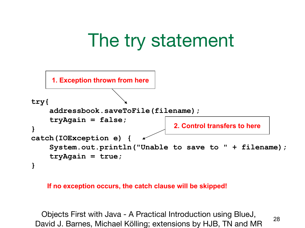

#### **If no exception occurs, the catch clause will be skipped!**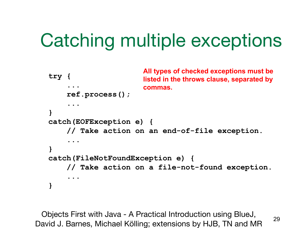# Catching multiple exceptions

```
try {
.....
     ref.process();
      ...
}
catch(EOFException e) {
     // Take action on an end-of-file exception.
....
}
catch(FileNotFoundException e) {
     // Take action on a file-not-found exception.
      ...
}
                        All types of checked exceptions must be 
                        listed in the throws clause, separated by
                        commas.
```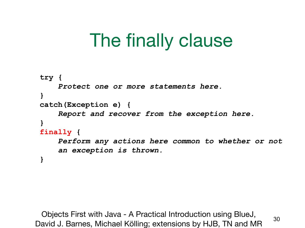# The finally clause

```
try {
     Protect one or more statements here.
}
catch(Exception e) {
     Report and recover from the exception here.
}
finally {
     Perform any actions here common to whether or not
     an exception is thrown.
}
```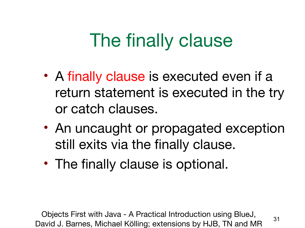# The finally clause

- A finally clause is executed even if a return statement is executed in the try or catch clauses.
- An uncaught or propagated exception still exits via the finally clause.
- The finally clause is optional.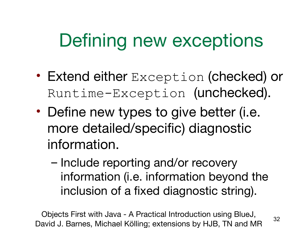# Defining new exceptions

- Extend either Exception (checked) or Runtime-Exception (unchecked).
- Define new types to give better (i.e. more detailed/specific) diagnostic information.
	- Include reporting and/or recovery information (i.e. information beyond the inclusion of a fixed diagnostic string).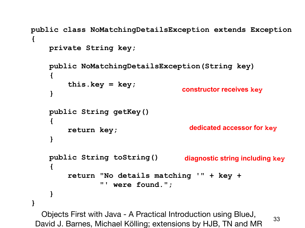```
public class NoMatchingDetailsException extends Exception
{
     private String key;
     public NoMatchingDetailsException(String key)
      {
          this.key = key;
      }
     public String getKey()
      {
          return key;
      }
     public String toString()
      {
          return "No details matching '" + key +
                  "' were found.";
      }
}
                                      constructor receives key
                                        dedicated accessor for key
                                       diagnostic string including key
```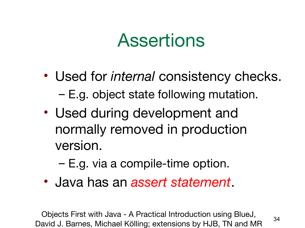#### Assertions

- Used for *internal* consistency checks. – E.g. object state following mutation.
- Used during development and normally removed in production version.
	- E.g. via a compile-time option.
- Java has an *assert statement*.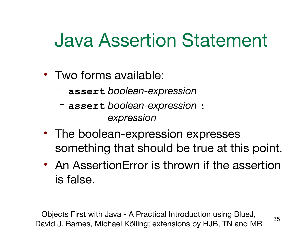#### Java Assertion Statement

- Two forms available:
	- **assert** *boolean-expression*
	- **assert** *boolean-expression* **:** *expression*
- The boolean-expression expresses something that should be true at this point.
- An AssertionError is thrown if the assertion is false.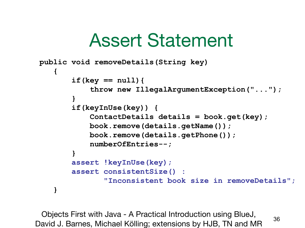#### Assert Statement

```
public void removeDetails(String key)
 {
         if(key == null){
             throw new IllegalArgumentException("...");
 }
         if(keyInUse(key)) {
             ContactDetails details = book.get(key);
             book.remove(details.getName());
             book.remove(details.getPhone());
             numberOfEntries--;
 }
         assert !keyInUse(key);
         assert consistentSize() :
                "Inconsistent book size in removeDetails";
     }
```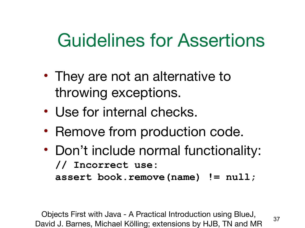## Guidelines for Assertions

- They are not an alternative to throwing exceptions.
- Use for internal checks.
- Remove from production code.
- Don't include normal functionality: **// Incorrect use: assert book.remove(name) != null;**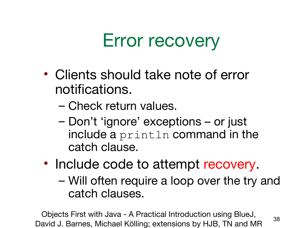# Error recovery

- Clients should take note of error notifications.
	- Check return values.
	- Don't 'ignore' exceptions or just include a println command in the catch clause.
- Include code to attempt recovery.
	- Will often require a loop over the try and catch clauses.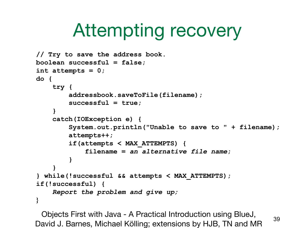# Attempting recovery

```
// Try to save the address book.
boolean successful = false;
int attempts = 0;
do {
     try {
         addressbook.saveToFile(filename);
         successful = true;
     }
     catch(IOException e) {
         System.out.println("Unable to save to " + filename);
         attempts++;
         if(attempts < MAX_ATTEMPTS) {
             filename = an alternative file name;
 }
 }
} while(!successful && attempts < MAX_ATTEMPTS);
if(!successful) {
     Report the problem and give up;
}
```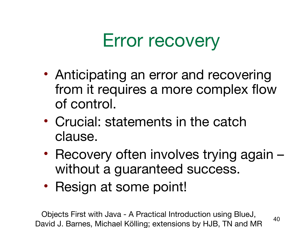# Error recovery

- Anticipating an error and recovering from it requires a more complex flow of control.
- Crucial: statements in the catch clause.
- Recovery often involves trying again without a guaranteed success.
- Resign at some point!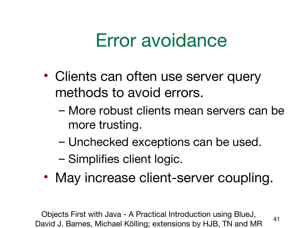#### Error avoidance

- Clients can often use server query methods to avoid errors.
	- More robust clients mean servers can be more trusting.
	- Unchecked exceptions can be used.
	- Simplifies client logic.
- May increase client-server coupling.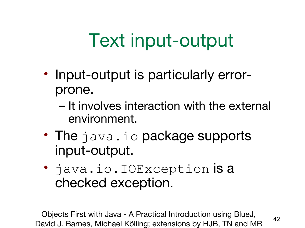# Text input-output

- Input-output is particularly errorprone.
	- It involves interaction with the external environment.
- The java.io package supports input-output.
- java.io.IOException is a checked exception.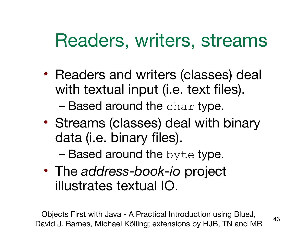#### Readers, writers, streams

• Readers and writers (classes) deal with textual input (i.e. text files).

 $-$  Based around the char type.

• Streams (classes) deal with binary data (i.e. binary files).

 $-$  Based around the byte type.

• The *address-book-io* project illustrates textual IO.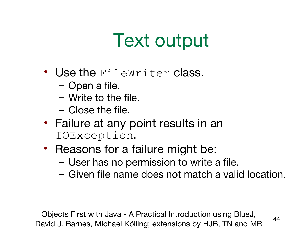# Text output

- Use the FileWriter class.
	- Open a file.
	- Write to the file.
	- Close the file.
- Failure at any point results in an IOException.
- Reasons for a failure might be:
	- User has no permission to write a file.
	- Given file name does not match a valid location.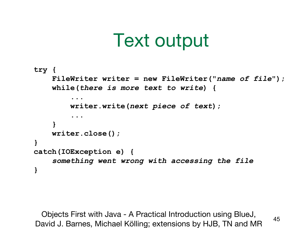#### Text output

```
try {
     FileWriter writer = new FileWriter("name of file");
    while(there is more text to write) {
 ...
         writer.write(next piece of text);
 ...
     }
    writer.close();
}
catch(IOException e) {
     something went wrong with accessing the file
}
```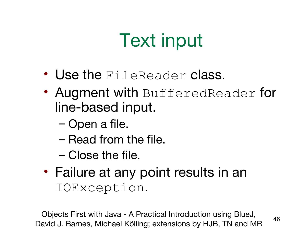# Text input

- Use the FileReader class.
- Augment with BufferedReader for line-based input.
	- Open a file.
	- Read from the file.
	- Close the file.
- Failure at any point results in an IOException.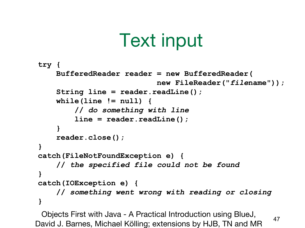# Text input

```
try {
     BufferedReader reader = new BufferedReader(
                            new FileReader("filename"));
     String line = reader.readLine();
     while(line != null) {
         // do something with line
         line = reader.readLine();
     }
     reader.close();
}
catch(FileNotFoundException e) {
     // the specified file could not be found
}
catch(IOException e) {
     // something went wrong with reading or closing
}
```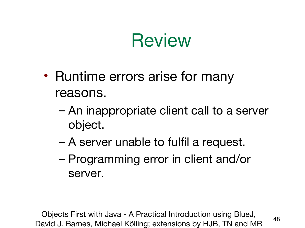#### **Review**

- Runtime errors arise for many reasons.
	- An inappropriate client call to a server object.
	- A server unable to fulfil a request.
	- Programming error in client and/or server.